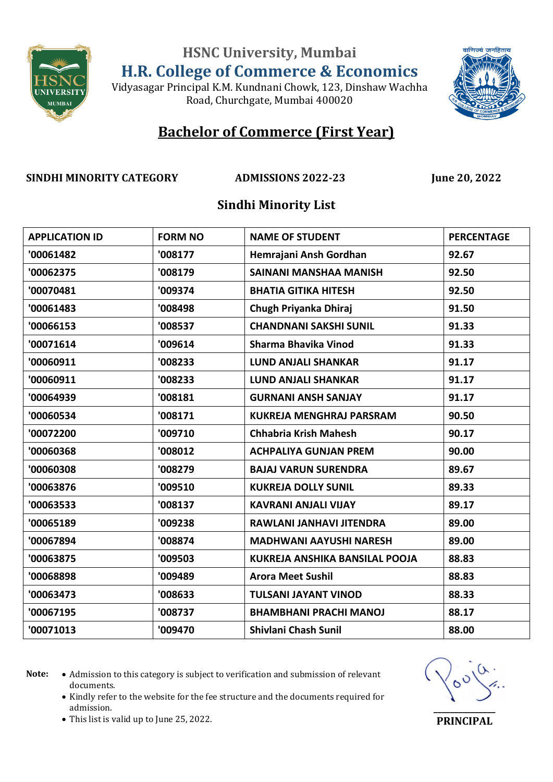Vidyasagar Principal K.M. Kundnani Chowk, 123, Dinshaw Wachha Road, Churchgate, Mumbai 400020



#### **Bachelor of Commerce (First Year)**

**SINDHI MINORITY CATEGORY ADMISSIONS 2022-23 June 20, 2022**

#### **Sindhi Minority List**

| <b>APPLICATION ID</b> | <b>FORM NO</b> | <b>NAME OF STUDENT</b>          | <b>PERCENTAGE</b> |
|-----------------------|----------------|---------------------------------|-------------------|
| '00061482             | '008177        | Hemrajani Ansh Gordhan          | 92.67             |
| '00062375             | '008179        | SAINANI MANSHAA MANISH          | 92.50             |
| '00070481             | '009374        | <b>BHATIA GITIKA HITESH</b>     | 92.50             |
| '00061483             | '008498        | Chugh Priyanka Dhiraj           | 91.50             |
| '00066153             | '008537        | <b>CHANDNANI SAKSHI SUNIL</b>   | 91.33             |
| '00071614             | '009614        | Sharma Bhavika Vinod            | 91.33             |
| '00060911             | '008233        | <b>LUND ANJALI SHANKAR</b>      | 91.17             |
| '00060911             | '008233        | <b>LUND ANJALI SHANKAR</b>      | 91.17             |
| '00064939             | '008181        | <b>GURNANI ANSH SANJAY</b>      | 91.17             |
| '00060534             | '008171        | <b>KUKREJA MENGHRAJ PARSRAM</b> | 90.50             |
| '00072200             | '009710        | <b>Chhabria Krish Mahesh</b>    | 90.17             |
| '00060368             | '008012        | <b>ACHPALIYA GUNJAN PREM</b>    | 90.00             |
| '00060308             | '008279        | <b>BAJAJ VARUN SURENDRA</b>     | 89.67             |
| '00063876             | '009510        | <b>KUKREJA DOLLY SUNIL</b>      | 89.33             |
| '00063533             | '008137        | <b>KAVRANI ANJALI VIJAY</b>     | 89.17             |
| '00065189             | '009238        | RAWLANI JANHAVI JITENDRA        | 89.00             |
| '00067894             | '008874        | <b>MADHWANI AAYUSHI NARESH</b>  | 89.00             |
| '00063875             | '009503        | KUKREJA ANSHIKA BANSILAL POOJA  | 88.83             |
| '00068898             | '009489        | <b>Arora Meet Sushil</b>        | 88.83             |
| '00063473             | '008633        | <b>TULSANI JAYANT VINOD</b>     | 88.33             |
| '00067195             | '008737        | <b>BHAMBHANI PRACHI MANOJ</b>   | 88.17             |
| '00071013             | '009470        | Shivlani Chash Sunil            | 88.00             |

- Note:  $\bullet$  Admission to this category is subject to verification and submission of relevant documents.
	- Kindly refer to the website for the fee structure and the documents required for admission.



This list is valid up to June 25, 2022.

**PRINCIPAL**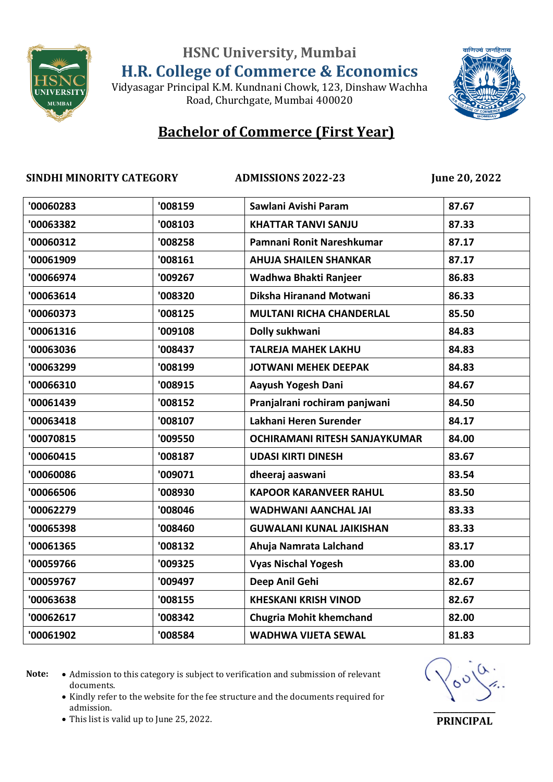Vidyasagar Principal K.M. Kundnani Chowk, 123, Dinshaw Wachha Road, Churchgate, Mumbai 400020



### **Bachelor of Commerce (First Year)**

**SINDHI MINORITY CATEGORY ADMISSIONS 2022-23 June 20, 2022**

| '00060283 | '008159 | Sawlani Avishi Param                 | 87.67 |
|-----------|---------|--------------------------------------|-------|
| '00063382 | '008103 | <b>KHATTAR TANVI SANJU</b>           | 87.33 |
| '00060312 | '008258 | Pamnani Ronit Nareshkumar            | 87.17 |
| '00061909 | '008161 | <b>AHUJA SHAILEN SHANKAR</b>         | 87.17 |
| '00066974 | '009267 | Wadhwa Bhakti Ranjeer                | 86.83 |
| '00063614 | '008320 | Diksha Hiranand Motwani              | 86.33 |
| '00060373 | '008125 | <b>MULTANI RICHA CHANDERLAL</b>      | 85.50 |
| '00061316 | '009108 | Dolly sukhwani                       | 84.83 |
| '00063036 | '008437 | <b>TALREJA MAHEK LAKHU</b>           | 84.83 |
| '00063299 | '008199 | <b>JOTWANI MEHEK DEEPAK</b>          | 84.83 |
| '00066310 | '008915 | Aayush Yogesh Dani                   | 84.67 |
| '00061439 | '008152 | Pranjalrani rochiram panjwani        | 84.50 |
| '00063418 | '008107 | Lakhani Heren Surender               | 84.17 |
| '00070815 | '009550 | <b>OCHIRAMANI RITESH SANJAYKUMAR</b> | 84.00 |
| '00060415 | '008187 | <b>UDASI KIRTI DINESH</b>            | 83.67 |
| '00060086 | '009071 | dheeraj aaswani                      | 83.54 |
| '00066506 | '008930 | <b>KAPOOR KARANVEER RAHUL</b>        | 83.50 |
| '00062279 | '008046 | <b>WADHWANI AANCHAL JAI</b>          | 83.33 |
| '00065398 | '008460 | <b>GUWALANI KUNAL JAIKISHAN</b>      | 83.33 |
| '00061365 | '008132 | Ahuja Namrata Lalchand               | 83.17 |
| '00059766 | '009325 | <b>Vyas Nischal Yogesh</b>           | 83.00 |
| '00059767 | '009497 | Deep Anil Gehi                       | 82.67 |
| '00063638 | '008155 | <b>KHESKANI KRISH VINOD</b>          | 82.67 |
| '00062617 | '008342 | <b>Chugria Mohit khemchand</b>       | 82.00 |
| '00061902 | '008584 | <b>WADHWA VIJETA SEWAL</b>           | 81.83 |
|           |         |                                      |       |

Note:  $\bullet$  Admission to this category is subject to verification and submission of relevant documents.

• Kindly refer to the website for the fee structure and the documents required for admission.



This list is valid up to June 25, 2022.

**PRINCIPAL**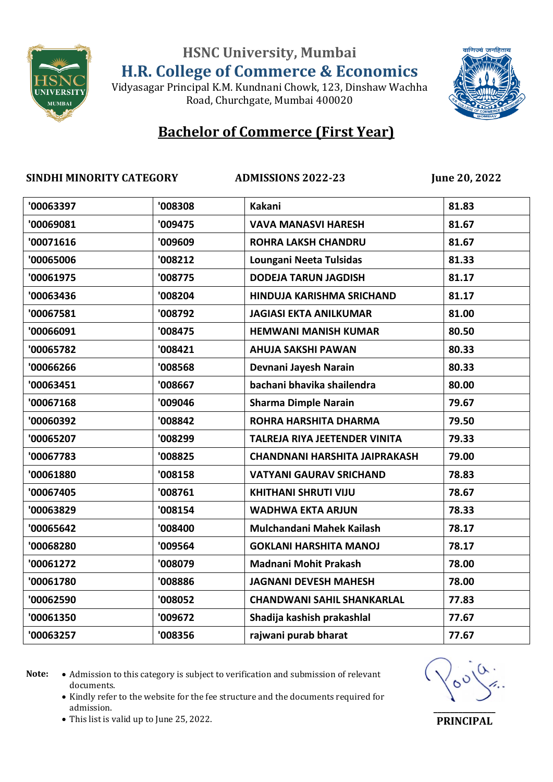Vidyasagar Principal K.M. Kundnani Chowk, 123, Dinshaw Wachha Road, Churchgate, Mumbai 400020



# **Bachelor of Commerce (First Year)**

#### **SINDHI MINORITY CATEGORY ADMISSIONS 2022-23 June 20, 2022**

| '008308 | Kakani                               | 81.83 |
|---------|--------------------------------------|-------|
| '009475 | <b>VAVA MANASVI HARESH</b>           | 81.67 |
| '009609 | <b>ROHRA LAKSH CHANDRU</b>           | 81.67 |
| '008212 | Loungani Neeta Tulsidas              | 81.33 |
| '008775 | <b>DODEJA TARUN JAGDISH</b>          | 81.17 |
| '008204 | HINDUJA KARISHMA SRICHAND            | 81.17 |
| '008792 | <b>JAGIASI EKTA ANILKUMAR</b>        | 81.00 |
| '008475 | <b>HEMWANI MANISH KUMAR</b>          | 80.50 |
| '008421 | <b>AHUJA SAKSHI PAWAN</b>            | 80.33 |
| '008568 | Devnani Jayesh Narain                | 80.33 |
| '008667 | bachani bhavika shailendra           | 80.00 |
| '009046 | <b>Sharma Dimple Narain</b>          | 79.67 |
| '008842 | ROHRA HARSHITA DHARMA                | 79.50 |
| '008299 | TALREJA RIYA JEETENDER VINITA        | 79.33 |
| '008825 | <b>CHANDNANI HARSHITA JAIPRAKASH</b> | 79.00 |
| '008158 | <b>VATYANI GAURAV SRICHAND</b>       | 78.83 |
| '008761 | <b>KHITHANI SHRUTI VIJU</b>          | 78.67 |
| '008154 | <b>WADHWA EKTA ARJUN</b>             | 78.33 |
| '008400 | Mulchandani Mahek Kailash            | 78.17 |
| '009564 | <b>GOKLANI HARSHITA MANOJ</b>        | 78.17 |
| '008079 | Madnani Mohit Prakash                | 78.00 |
| '008886 | <b>JAGNANI DEVESH MAHESH</b>         | 78.00 |
| '008052 | <b>CHANDWANI SAHIL SHANKARLAL</b>    | 77.83 |
| '009672 | Shadija kashish prakashlal           | 77.67 |
| '008356 | rajwani purab bharat                 | 77.67 |
|         |                                      |       |

Note:  $\bullet$  Admission to this category is subject to verification and submission of relevant documents.

• Kindly refer to the website for the fee structure and the documents required for admission.



This list is valid up to June 25, 2022.

**PRINCIPAL**